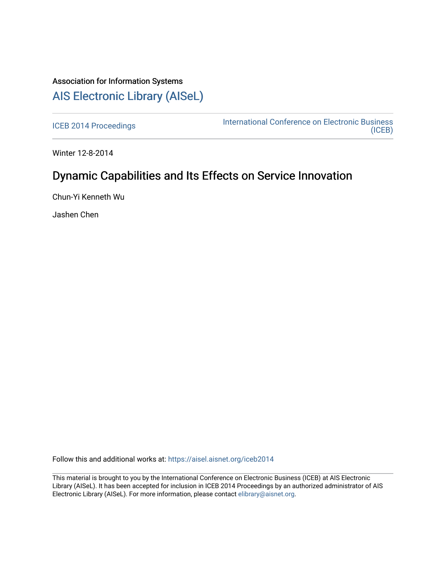## Association for Information Systems [AIS Electronic Library \(AISeL\)](https://aisel.aisnet.org/)

[ICEB 2014 Proceedings](https://aisel.aisnet.org/iceb2014) **International Conference on Electronic Business** [\(ICEB\)](https://aisel.aisnet.org/iceb) 

Winter 12-8-2014

## Dynamic Capabilities and Its Effects on Service Innovation

Chun-Yi Kenneth Wu

Jashen Chen

Follow this and additional works at: [https://aisel.aisnet.org/iceb2014](https://aisel.aisnet.org/iceb2014?utm_source=aisel.aisnet.org%2Ficeb2014%2F46&utm_medium=PDF&utm_campaign=PDFCoverPages)

This material is brought to you by the International Conference on Electronic Business (ICEB) at AIS Electronic Library (AISeL). It has been accepted for inclusion in ICEB 2014 Proceedings by an authorized administrator of AIS Electronic Library (AISeL). For more information, please contact [elibrary@aisnet.org.](mailto:elibrary@aisnet.org%3E)